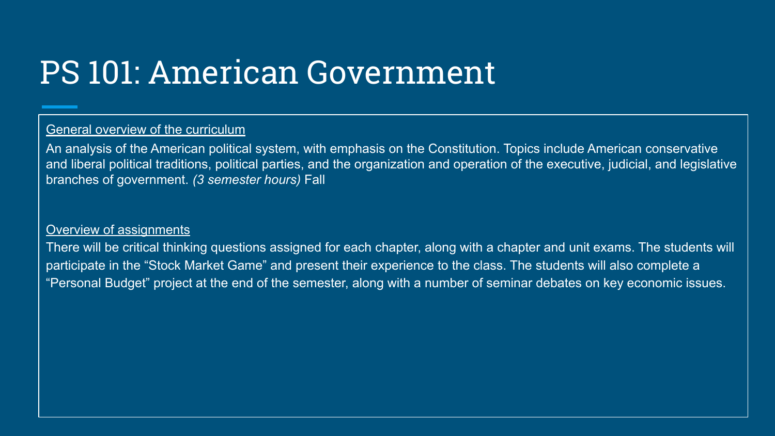# PS 101: American Government

## General overview of the curriculum

An analysis of the American political system, with emphasis on the Constitution. Topics include American conservative and liberal political traditions, political parties, and the organization and operation of the executive, judicial, and legislative branches of government. *(3 semester hours)* Fall

#### Overview of assignments

There will be critical thinking questions assigned for each chapter, along with a chapter and unit exams. The students will participate in the "Stock Market Game" and present their experience to the class. The students will also complete a "Personal Budget" project at the end of the semester, along with a number of seminar debates on key economic issues.